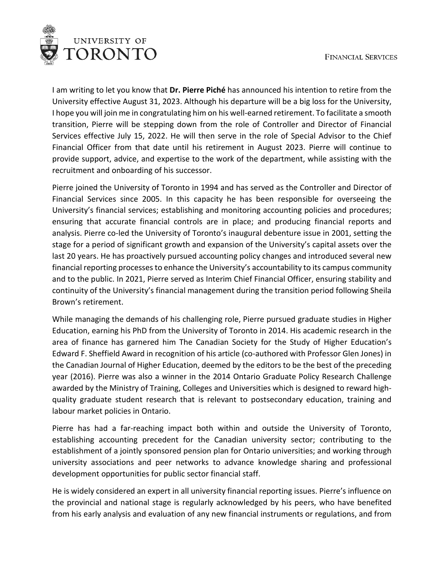

I am writing to let you know that **Dr. Pierre Piché** has announced his intention to retire from the University effective August 31, 2023. Although his departure will be a big loss for the University, I hope you will join me in congratulating him on his well-earned retirement. To facilitate a smooth transition, Pierre will be stepping down from the role of Controller and Director of Financial Services effective July 15, 2022. He will then serve in the role of Special Advisor to the Chief Financial Officer from that date until his retirement in August 2023. Pierre will continue to provide support, advice, and expertise to the work of the department, while assisting with the recruitment and onboarding of his successor.

Pierre joined the University of Toronto in 1994 and has served as the Controller and Director of Financial Services since 2005. In this capacity he has been responsible for overseeing the University's financial services; establishing and monitoring accounting policies and procedures; ensuring that accurate financial controls are in place; and producing financial reports and analysis. Pierre co-led the University of Toronto's inaugural debenture issue in 2001, setting the stage for a period of significant growth and expansion of the University's capital assets over the last 20 years. He has proactively pursued accounting policy changes and introduced several new financial reporting processes to enhance the University's accountability to its campus community and to the public. In 2021, Pierre served as Interim Chief Financial Officer, ensuring stability and continuity of the University's financial management during the transition period following Sheila Brown's retirement.

While managing the demands of his challenging role, Pierre pursued graduate studies in Higher Education, earning his PhD from the University of Toronto in 2014. His academic research in the area of finance has garnered him The Canadian Society for the Study of Higher Education's Edward F. Sheffield Award in recognition of his article (co-authored with Professor Glen Jones) in the Canadian Journal of Higher Education, deemed by the editors to be the best of the preceding year (2016). Pierre was also a winner in the 2014 Ontario Graduate Policy Research Challenge awarded by the Ministry of Training, Colleges and Universities which is designed to reward highquality graduate student research that is relevant to postsecondary education, training and labour market policies in Ontario.

Pierre has had a far-reaching impact both within and outside the University of Toronto, establishing accounting precedent for the Canadian university sector; contributing to the establishment of a jointly sponsored pension plan for Ontario universities; and working through university associations and peer networks to advance knowledge sharing and professional development opportunities for public sector financial staff.

He is widely considered an expert in all university financial reporting issues. Pierre's influence on the provincial and national stage is regularly acknowledged by his peers, who have benefited from his early analysis and evaluation of any new financial instruments or regulations, and from